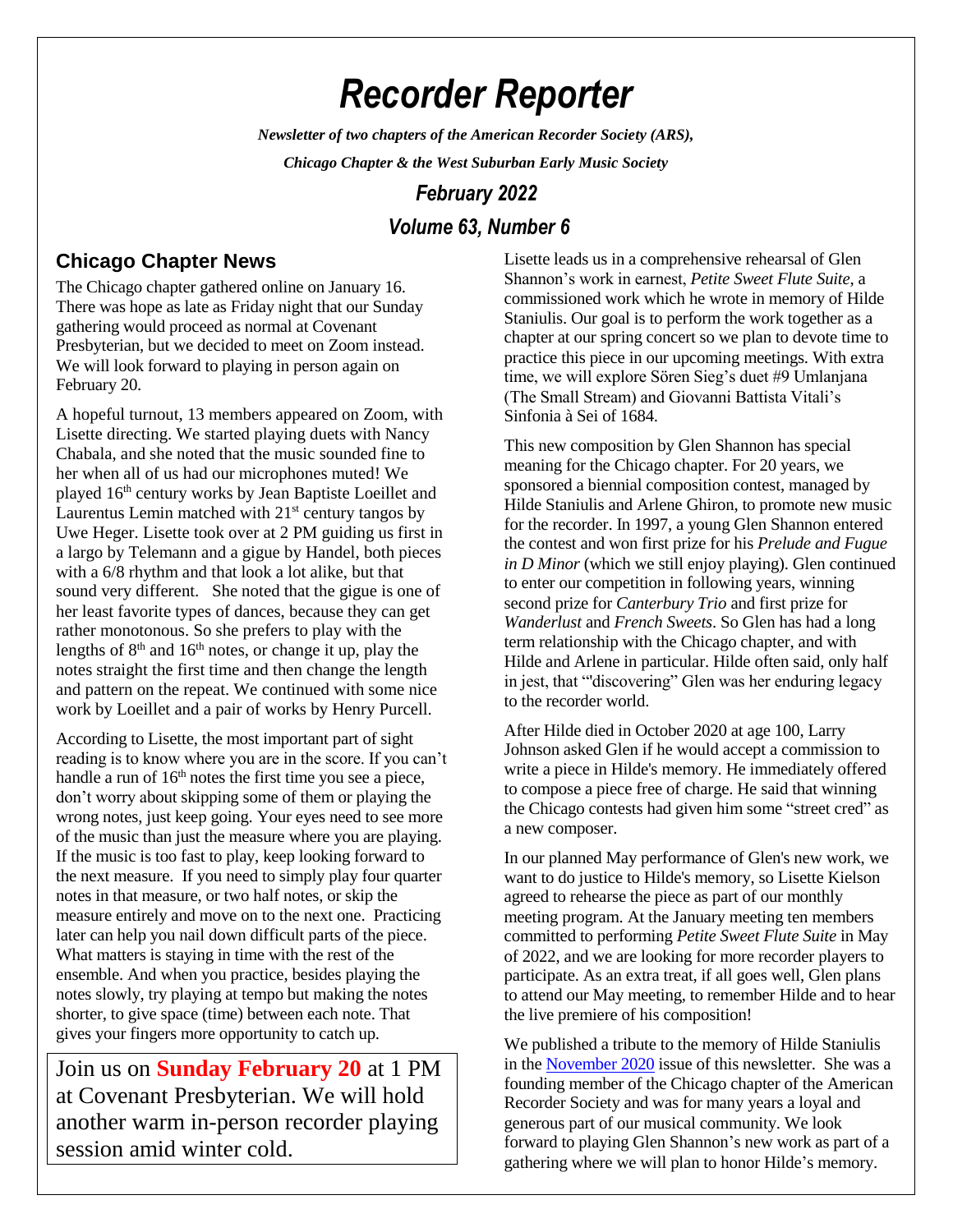# *Recorder Reporter*

*Newsletter of two chapters of the American Recorder Society (ARS),*

*Chicago Chapter & the West Suburban Early Music Society*

# *February 2022*

# *Volume 63, Number 6*

# **Chicago Chapter News**

The Chicago chapter gathered online on January 16. There was hope as late as Friday night that our Sunday gathering would proceed as normal at Covenant Presbyterian, but we decided to meet on Zoom instead. We will look forward to playing in person again on February 20.

A hopeful turnout, 13 members appeared on Zoom, with Lisette directing. We started playing duets with Nancy Chabala, and she noted that the music sounded fine to her when all of us had our microphones muted! We played 16th century works by Jean Baptiste Loeillet and Laurentus Lemin matched with  $21<sup>st</sup>$  century tangos by Uwe Heger. Lisette took over at 2 PM guiding us first in a largo by Telemann and a gigue by Handel, both pieces with a 6/8 rhythm and that look a lot alike, but that sound very different. She noted that the gigue is one of her least favorite types of dances, because they can get rather monotonous. So she prefers to play with the lengths of  $8<sup>th</sup>$  and  $16<sup>th</sup>$  notes, or change it up, play the notes straight the first time and then change the length and pattern on the repeat. We continued with some nice work by Loeillet and a pair of works by Henry Purcell.

According to Lisette, the most important part of sight reading is to know where you are in the score. If you can't handle a run of  $16<sup>th</sup>$  notes the first time you see a piece, don't worry about skipping some of them or playing the wrong notes, just keep going. Your eyes need to see more of the music than just the measure where you are playing. If the music is too fast to play, keep looking forward to the next measure. If you need to simply play four quarter notes in that measure, or two half notes, or skip the measure entirely and move on to the next one. Practicing later can help you nail down difficult parts of the piece. What matters is staying in time with the rest of the ensemble. And when you practice, besides playing the notes slowly, try playing at tempo but making the notes shorter, to give space (time) between each note. That gives your fingers more opportunity to catch up.

Join us on **Sunday February 20** at 1 PM at Covenant Presbyterian. We will hold another warm in-person recorder playing session amid winter cold.

Lisette leads us in a comprehensive rehearsal of Glen Shannon's work in earnest, *Petite Sweet Flute Suite*, a commissioned work which he wrote in memory of Hilde Staniulis. Our goal is to perform the work together as a chapter at our spring concert so we plan to devote time to practice this piece in our upcoming meetings. With extra time, we will explore Sören Sieg's duet #9 Umlanjana (The Small Stream) and Giovanni Battista Vitali's Sinfonia à Sei of 1684.

This new composition by Glen Shannon has special meaning for the Chicago chapter. For 20 years, we sponsored a biennial composition contest, managed by Hilde Staniulis and Arlene Ghiron, to promote new music for the recorder. In 1997, a young Glen Shannon entered the contest and won first prize for his *Prelude and Fugue in D Minor* (which we still enjoy playing). Glen continued to enter our competition in following years, winning second prize for *Canterbury Trio* and first prize for *Wanderlust* and *French Sweets*. So Glen has had a long term relationship with the Chicago chapter, and with Hilde and Arlene in particular. Hilde often said, only half in jest, that "'discovering" Glen was her enduring legacy to the recorder world.

After Hilde died in October 2020 at age 100, Larry Johnson asked Glen if he would accept a commission to write a piece in Hilde's memory. He immediately offered to compose a piece free of charge. He said that winning the Chicago contests had given him some "street cred" as a new composer.

In our planned May performance of Glen's new work, we want to do justice to Hilde's memory, so Lisette Kielson agreed to rehearse the piece as part of our monthly meeting program. At the January meeting ten members committed to performing *Petite Sweet Flute Suite* in May of 2022, and we are looking for more recorder players to participate. As an extra treat, if all goes well, Glen plans to attend our May meeting, to remember Hilde and to hear the live premiere of his composition!

We published a tribute to the memory of Hilde Staniulis in the [November 2020](https://chicagorecorders.files.wordpress.com/2020/10/november-2020.pdf) issue of this newsletter. She was a founding member of the Chicago chapter of the American Recorder Society and was for many years a loyal and generous part of our musical community. We look forward to playing Glen Shannon's new work as part of a gathering where we will plan to honor Hilde's memory.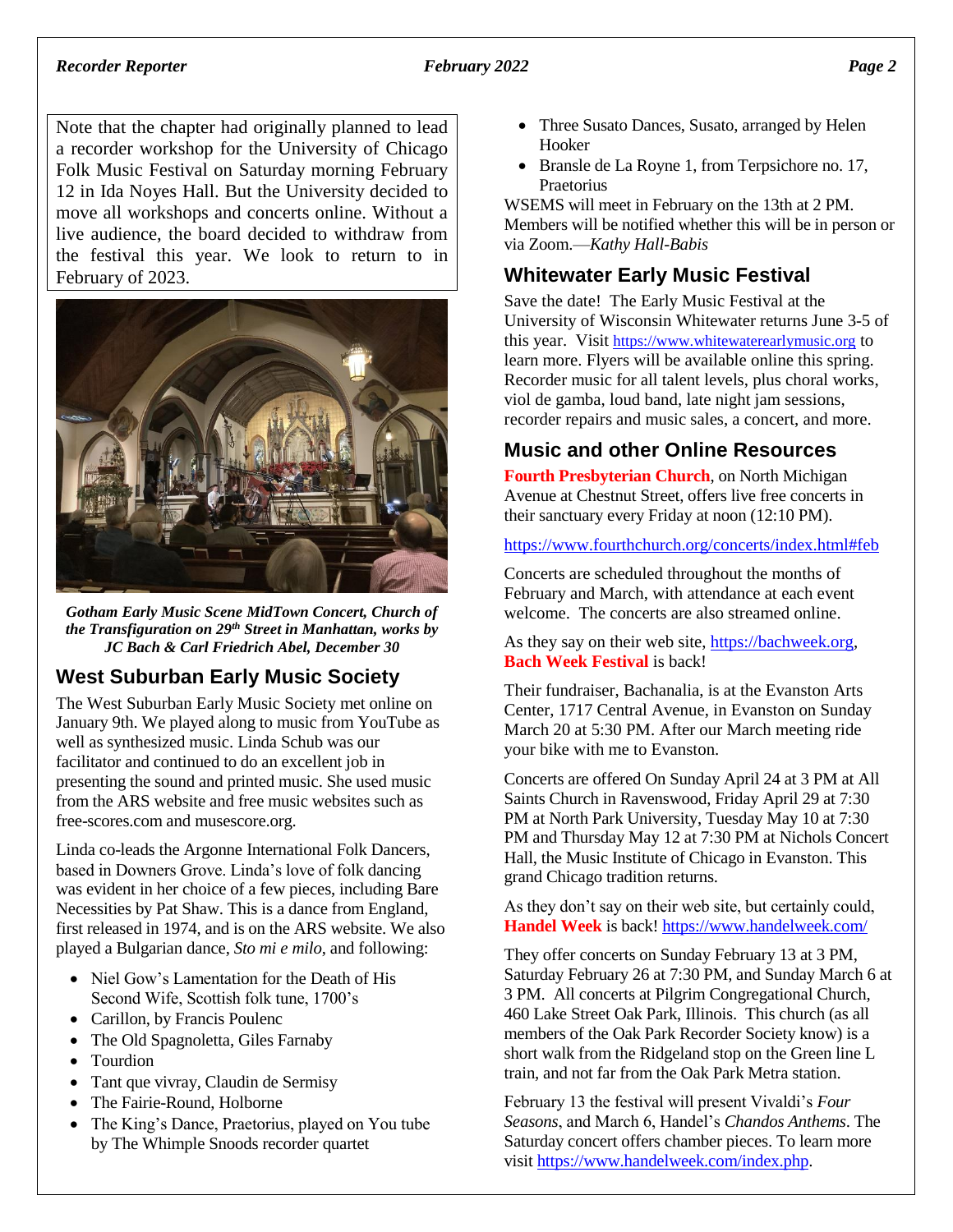#### *Recorder Reporter February 2022 Page 2*

Note that the chapter had originally planned to lead a recorder workshop for the University of Chicago Folk Music Festival on Saturday morning February 12 in Ida Noyes Hall. But the University decided to move all workshops and concerts online. Without a live audience, the board decided to withdraw from the festival this year. We look to return to in February of 2023.



*Gotham Early Music Scene MidTown Concert, Church of the Transfiguration on 29th Street in Manhattan, works by JC Bach & Carl Friedrich Abel, December 30*

# **West Suburban Early Music Society**

The West Suburban Early Music Society met online on January 9th. We played along to music from YouTube as well as synthesized music. Linda Schub was our facilitator and continued to do an excellent job in presenting the sound and printed music. She used music from the ARS website and free music websites such as free-scores.com and musescore.org.

Linda co-leads the Argonne International Folk Dancers, based in Downers Grove. Linda's love of folk dancing was evident in her choice of a few pieces, including Bare Necessities by Pat Shaw. This is a dance from England, first released in 1974, and is on the ARS website. We also played a Bulgarian dance, *Sto mi e milo*, and following:

- Niel Gow's Lamentation for the Death of His Second Wife, Scottish folk tune, 1700's
- Carillon, by Francis Poulenc
- The Old Spagnoletta, Giles Farnaby
- Tourdion
- Tant que vivray, Claudin de Sermisy
- The Fairie-Round, Holborne
- The King's Dance, Praetorius, played on You tube by The Whimple Snoods recorder quartet
- Three Susato Dances, Susato, arranged by Helen Hooker
- Bransle de La Royne 1, from Terpsichore no. 17, Praetorius

WSEMS will meet in February on the 13th at 2 PM. Members will be notified whether this will be in person or via Zoom.—*Kathy Hall-Babis*

# **Whitewater Early Music Festival**

Save the date! The Early Music Festival at the University of Wisconsin Whitewater returns June 3-5 of this year. Visit [https://www.whitewaterearlymusic.org](https://www.whitewaterearlymusic.org/) to learn more. Flyers will be available online this spring. Recorder music for all talent levels, plus choral works, viol de gamba, loud band, late night jam sessions, recorder repairs and music sales, a concert, and more.

# **Music and other Online Resources**

**Fourth Presbyterian Church**, on North Michigan Avenue at Chestnut Street, offers live free concerts in their sanctuary every Friday at noon (12:10 PM).

<https://www.fourthchurch.org/concerts/index.html#feb>

Concerts are scheduled throughout the months of February and March, with attendance at each event welcome. The concerts are also streamed online.

As they say on their web site, [https://bachweek.org,](https://bachweek.orgm/) **Bach Week Festival** is back!

Their fundraiser, Bachanalia, is at the Evanston Arts Center, 1717 Central Avenue, in Evanston on Sunday March 20 at 5:30 PM. After our March meeting ride your bike with me to Evanston.

Concerts are offered On Sunday April 24 at 3 PM at All Saints Church in Ravenswood, Friday April 29 at 7:30 PM at North Park University, Tuesday May 10 at 7:30 PM and Thursday May 12 at 7:30 PM at Nichols Concert Hall, the Music Institute of Chicago in Evanston. This grand Chicago tradition returns.

As they don't say on their web site, but certainly could, **Handel Week** is back!<https://www.handelweek.com/>

They offer concerts on Sunday February 13 at 3 PM, Saturday February 26 at 7:30 PM, and Sunday March 6 at 3 PM. All concerts at Pilgrim Congregational Church, 460 Lake Street Oak Park, Illinois. This church (as all members of the Oak Park Recorder Society know) is a short walk from the Ridgeland stop on the Green line L train, and not far from the Oak Park Metra station.

February 13 the festival will present Vivaldi's *Four Seasons*, and March 6, Handel's *Chandos Anthems*. The Saturday concert offers chamber pieces. To learn more visit [https://www.handelweek.com/index.php.](https://www.handelweek.com/index.php)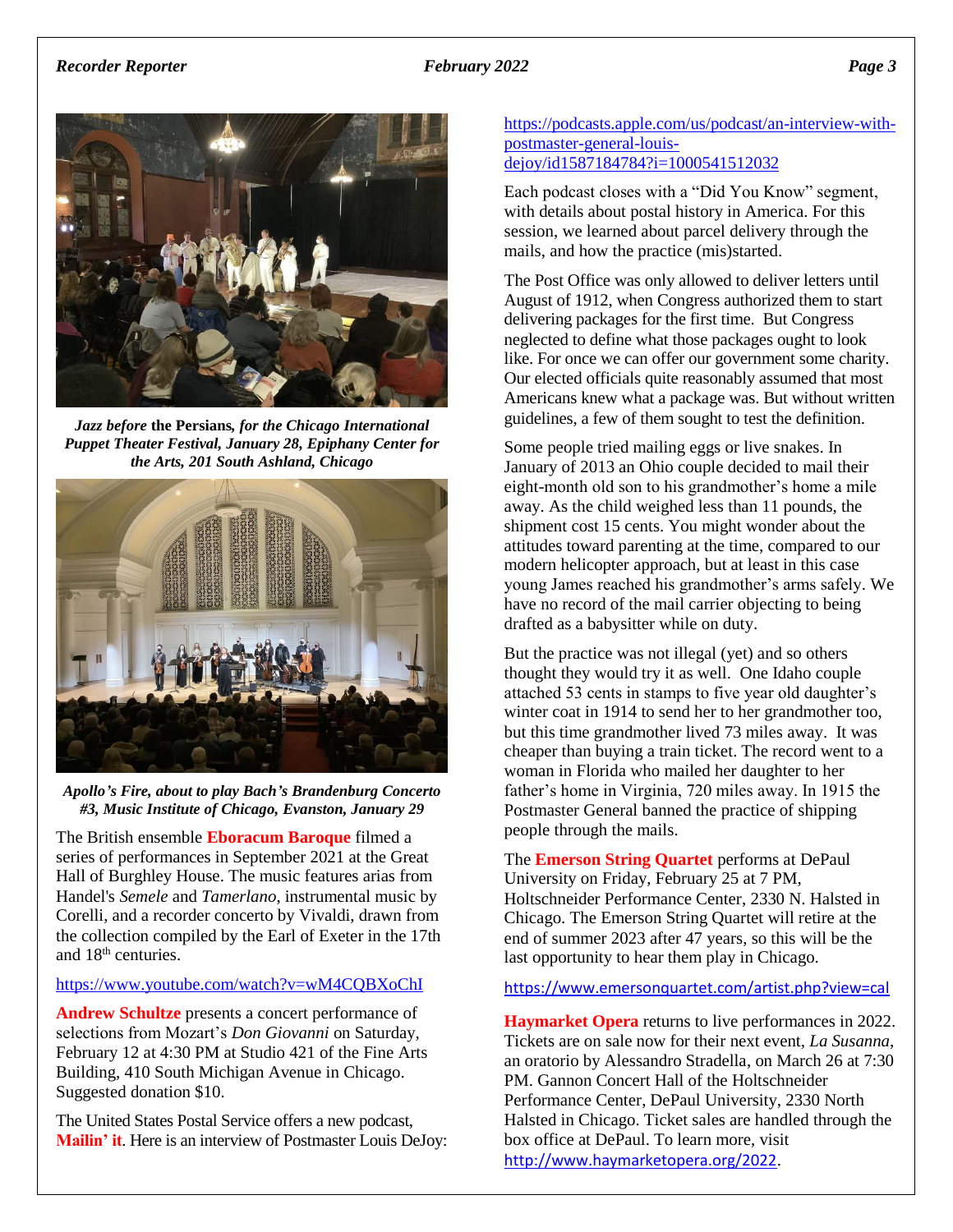

*Jazz before* **the Persians***, for the Chicago International Puppet Theater Festival, January 28, Epiphany Center for the Arts, 201 South Ashland, Chicago*





The British ensemble **Eboracum Baroque** filmed a series of performances in September 2021 at the Great Hall of Burghley House. The music features arias from Handel's *Semele* and *Tamerlano*, instrumental music by Corelli, and a recorder concerto by Vivaldi, drawn from the collection compiled by the Earl of Exeter in the 17th and 18th centuries.

### <https://www.youtube.com/watch?v=wM4CQBXoChI>

**Andrew Schultze** presents a concert performance of selections from Mozart's *Don Giovanni* on Saturday, February 12 at 4:30 PM at Studio 421 of the Fine Arts Building, 410 South Michigan Avenue in Chicago. Suggested donation \$10.

The United States Postal Service offers a new podcast, **Mailin' it**. Here is an interview of Postmaster Louis DeJoy:

### [https://podcasts.apple.com/us/podcast/an-interview-with](https://podcasts.apple.com/us/podcast/an-interview-with-postmaster-general-louis-dejoy/id1587184784?i=1000541512032)[postmaster-general-louis](https://podcasts.apple.com/us/podcast/an-interview-with-postmaster-general-louis-dejoy/id1587184784?i=1000541512032)[dejoy/id1587184784?i=1000541512032](https://podcasts.apple.com/us/podcast/an-interview-with-postmaster-general-louis-dejoy/id1587184784?i=1000541512032)

Each podcast closes with a "Did You Know" segment, with details about postal history in America. For this session, we learned about parcel delivery through the mails, and how the practice (mis)started.

The Post Office was only allowed to deliver letters until August of 1912, when Congress authorized them to start delivering packages for the first time. But Congress neglected to define what those packages ought to look like. For once we can offer our government some charity. Our elected officials quite reasonably assumed that most Americans knew what a package was. But without written guidelines, a few of them sought to test the definition.

Some people tried mailing eggs or live snakes. In January of 2013 an Ohio couple decided to mail their eight-month old son to his grandmother's home a mile away. As the child weighed less than 11 pounds, the shipment cost 15 cents. You might wonder about the attitudes toward parenting at the time, compared to our modern helicopter approach, but at least in this case young James reached his grandmother's arms safely. We have no record of the mail carrier objecting to being drafted as a babysitter while on duty.

But the practice was not illegal (yet) and so others thought they would try it as well. One Idaho couple attached 53 cents in stamps to five year old daughter's winter coat in 1914 to send her to her grandmother too, but this time grandmother lived 73 miles away. It was cheaper than buying a train ticket. The record went to a woman in Florida who mailed her daughter to her father's home in Virginia, 720 miles away. In 1915 the Postmaster General banned the practice of shipping people through the mails.

The **Emerson String Quartet** performs at DePaul University on Friday, February 25 at 7 PM, Holtschneider Performance Center, 2330 N. Halsted in Chicago. The Emerson String Quartet will retire at the end of summer 2023 after 47 years, so this will be the last opportunity to hear them play in Chicago.

<https://www.emersonquartet.com/artist.php?view=cal>

**Haymarket Opera** returns to live performances in 2022. Tickets are on sale now for their next event, *La Susanna*, an oratorio by Alessandro Stradella, on March 26 at 7:30 PM. Gannon Concert Hall of the Holtschneider Performance Center, DePaul University, 2330 North Halsted in Chicago. Ticket sales are handled through the box office at DePaul. To learn more, visit <http://www.haymarketopera.org/2022>.